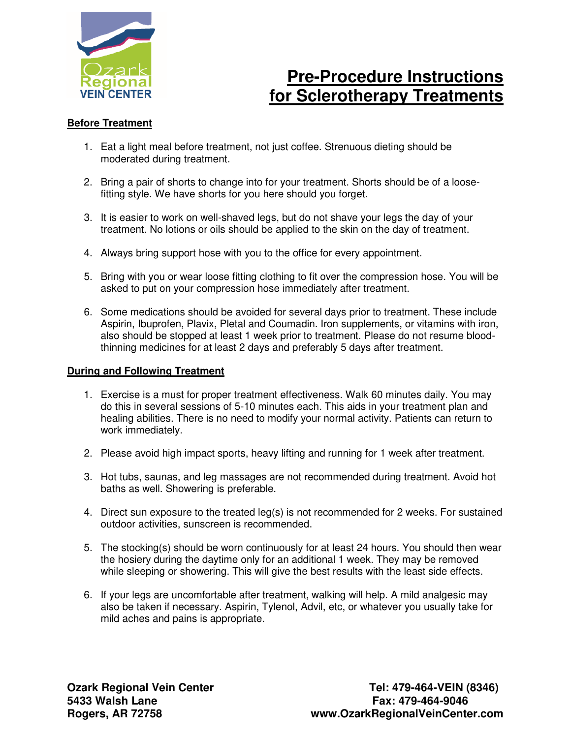

# **Pre-Procedure Instructions for Sclerotherapy Treatments**

## **Before Treatment**

- 1. Eat a light meal before treatment, not just coffee. Strenuous dieting should be moderated during treatment.
- 2. Bring a pair of shorts to change into for your treatment. Shorts should be of a loosefitting style. We have shorts for you here should you forget.
- 3. It is easier to work on well-shaved legs, but do not shave your legs the day of your treatment. No lotions or oils should be applied to the skin on the day of treatment.
- 4. Always bring support hose with you to the office for every appointment.
- 5. Bring with you or wear loose fitting clothing to fit over the compression hose. You will be asked to put on your compression hose immediately after treatment.
- 6. Some medications should be avoided for several days prior to treatment. These include Aspirin, Ibuprofen, Plavix, Pletal and Coumadin. Iron supplements, or vitamins with iron, also should be stopped at least 1 week prior to treatment. Please do not resume bloodthinning medicines for at least 2 days and preferably 5 days after treatment.

### **During and Following Treatment**

- 1. Exercise is a must for proper treatment effectiveness. Walk 60 minutes daily. You may do this in several sessions of 5-10 minutes each. This aids in your treatment plan and healing abilities. There is no need to modify your normal activity. Patients can return to work immediately.
- 2. Please avoid high impact sports, heavy lifting and running for 1 week after treatment.
- 3. Hot tubs, saunas, and leg massages are not recommended during treatment. Avoid hot baths as well. Showering is preferable.
- 4. Direct sun exposure to the treated leg(s) is not recommended for 2 weeks. For sustained outdoor activities, sunscreen is recommended.
- 5. The stocking(s) should be worn continuously for at least 24 hours. You should then wear the hosiery during the daytime only for an additional 1 week. They may be removed while sleeping or showering. This will give the best results with the least side effects.
- 6. If your legs are uncomfortable after treatment, walking will help. A mild analgesic may also be taken if necessary. Aspirin, Tylenol, Advil, etc, or whatever you usually take for mild aches and pains is appropriate.